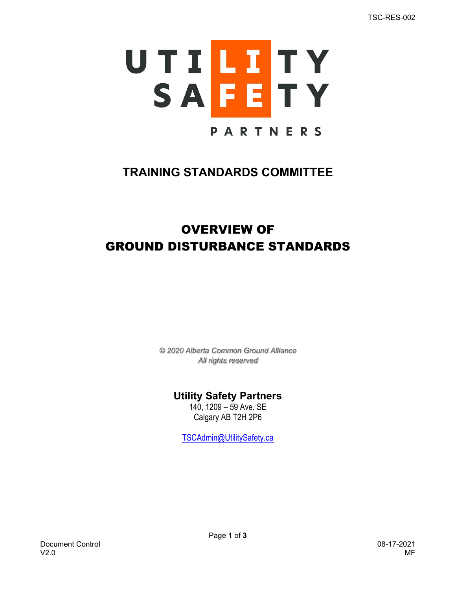

## **TRAINING STANDARDS COMMITTEE**

# OVERVIEW OF GROUND DISTURBANCE STANDARDS

*© 2020 Alberta Common Ground Alliance All rights reserved*

### **Utility Safety Partners**

140, 1209 – 59 Ave. SE Calgary AB T2H 2P6

TSCAdmin@UtilitySafety.ca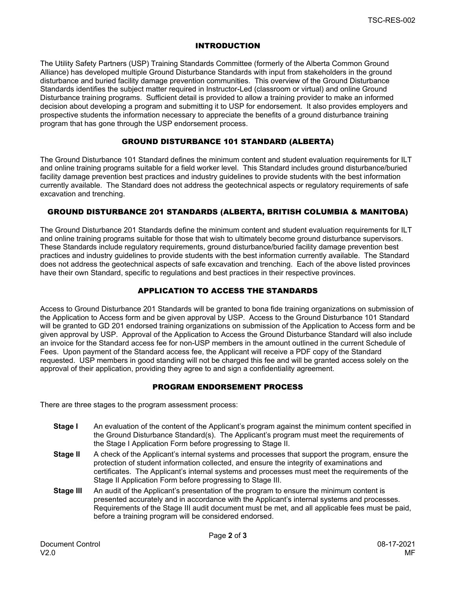#### INTRODUCTION

The Utility Safety Partners (USP) Training Standards Committee (formerly of the Alberta Common Ground Alliance) has developed multiple Ground Disturbance Standards with input from stakeholders in the ground disturbance and buried facility damage prevention communities. This overview of the Ground Disturbance Standards identifies the subject matter required in Instructor-Led (classroom or virtual) and online Ground Disturbance training programs. Sufficient detail is provided to allow a training provider to make an informed decision about developing a program and submitting it to USP for endorsement. It also provides employers and prospective students the information necessary to appreciate the benefits of a ground disturbance training program that has gone through the USP endorsement process.

#### GROUND DISTURBANCE 101 STANDARD (ALBERTA)

The Ground Disturbance 101 Standard defines the minimum content and student evaluation requirements for ILT and online training programs suitable for a field worker level. This Standard includes ground disturbance/buried facility damage prevention best practices and industry guidelines to provide students with the best information currently available. The Standard does not address the geotechnical aspects or regulatory requirements of safe excavation and trenching.

#### GROUND DISTURBANCE 201 STANDARDS (ALBERTA, BRITISH COLUMBIA & MANITOBA)

The Ground Disturbance 201 Standards define the minimum content and student evaluation requirements for ILT and online training programs suitable for those that wish to ultimately become ground disturbance supervisors. These Standards include regulatory requirements, ground disturbance/buried facility damage prevention best practices and industry guidelines to provide students with the best information currently available. The Standard does not address the geotechnical aspects of safe excavation and trenching. Each of the above listed provinces have their own Standard, specific to regulations and best practices in their respective provinces.

#### APPLICATION TO ACCESS THE STANDARDS

Access to Ground Disturbance 201 Standards will be granted to bona fide training organizations on submission of the Application to Access form and be given approval by USP. Access to the Ground Disturbance 101 Standard will be granted to GD 201 endorsed training organizations on submission of the Application to Access form and be given approval by USP. Approval of the Application to Access the Ground Disturbance Standard will also include an invoice for the Standard access fee for non-USP members in the amount outlined in the current Schedule of Fees. Upon payment of the Standard access fee, the Applicant will receive a PDF copy of the Standard requested. USP members in good standing will not be charged this fee and will be granted access solely on the approval of their application, providing they agree to and sign a confidentiality agreement.

#### PROGRAM ENDORSEMENT PROCESS

There are three stages to the program assessment process:

- **Stage I** An evaluation of the content of the Applicant's program against the minimum content specified in the Ground Disturbance Standard(s). The Applicant's program must meet the requirements of the Stage I Application Form before progressing to Stage II.
- **Stage II** A check of the Applicant's internal systems and processes that support the program, ensure the protection of student information collected, and ensure the integrity of examinations and certificates. The Applicant's internal systems and processes must meet the requirements of the Stage II Application Form before progressing to Stage III.
- **Stage III** An audit of the Applicant's presentation of the program to ensure the minimum content is presented accurately and in accordance with the Applicant's internal systems and processes. Requirements of the Stage III audit document must be met, and all applicable fees must be paid, before a training program will be considered endorsed.